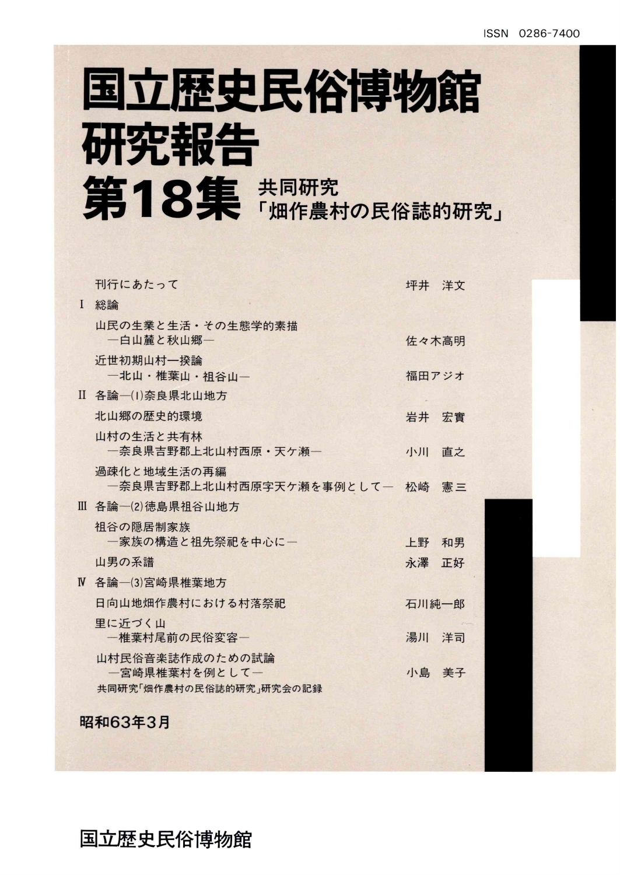## 国立歴史民俗博物館 研究報告 第18集 #同研究

|              | 刊行にあたって                                     | 坪井 洋文 |    |
|--------------|---------------------------------------------|-------|----|
| $\mathbf{I}$ | 総論                                          |       |    |
|              | 山民の生業と生活・その生態学的素描<br>一白山麓と秋山郷一              | 佐々木高明 |    |
|              | 近世初期山村一揆論<br>一北山・椎葉山・祖谷山一                   | 福田アジオ |    |
|              | II 各論一(1)奈良県北山地方                            |       |    |
|              | 北山郷の歴史的環境                                   | 岩井    | 宏實 |
|              | 山村の生活と共有林<br>一奈良県吉野郡上北山村西原·天ケ瀬一             | 小川    | 直之 |
|              | 過疎化と地域生活の再編<br>一奈良県吉野郡上北山村西原字天ケ瀬を事例として――松崎― |       | 憲三 |
|              | Ⅲ 各論―(2)徳島県祖谷山地方                            |       |    |
|              | 祖谷の隠居制家族<br>一家族の構造と祖先祭祀を中心に一                | 上野    | 和男 |
|              | 山男の系譜                                       | 永澤    | 正好 |
|              | Ⅳ 各論―(3)宮崎県椎葉地方                             |       |    |
|              | 日向山地畑作農村における村落祭祀                            | 石川純一郎 |    |
|              | 里に近づく山<br>一椎葉村尾前の民俗変容一                      | 湯川    | 洋司 |
|              | 山村民俗音楽誌作成のための試論<br>一宮崎県椎葉村を例として一            | 小島 美子 |    |
|              | 共同研究「畑作農村の民俗誌的研究」研究会の記録                     |       |    |
|              | 昭和63年3月                                     |       |    |

国立歴史民俗博物館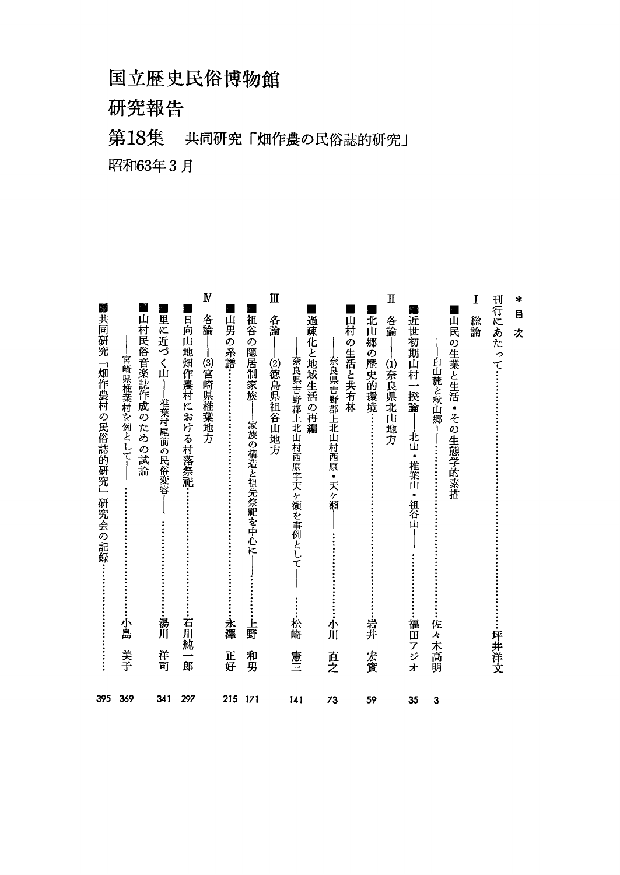#### 国立歴史民俗博物館

研究報告

#### 第18集 共同研究「畑作農の民俗誌的研究」

昭和63年3月

| 395  | 共同研究「畑作農村の民俗誌的研究」<br>研究会の記録:                | 黏                               |
|------|---------------------------------------------|---------------------------------|
| 369  | 山村民俗音楽誌作成のための試論<br>宮崎県椎葉村を例として-<br>小島<br>美子 |                                 |
| 341  | 椎葉村尾前の民俗変容<br>湯川<br>洋司                      | 里に近づく山                          |
| 297  | 日向山地畑作農村における村落祭祀…<br>石川純一郎                  |                                 |
|      | ⑶宮崎県椎葉地方                                    | $\boldsymbol{\mathrm{N}}$<br>各論 |
| 215  | 永澤<br>正好                                    | 山男の系譜……                         |
| -171 | 家族の構造と祖先祭祀を中心に<br>Ŀ,<br>野<br>和男             | 祖谷の隠居制家族                        |
|      | ⑵徳島県祖谷山地方                                   | Ш<br>各論                         |
| 141  | 奈良県吉野郡上北山村西原字天ヶ瀬を事例として<br>松崎<br>憲三          | 過疎化と地域生活の再編                     |
| 73   | 奈良県吉野郡上北山村西原・天ヶ瀬<br>小川<br>直之                | 山村の生活と共有林                       |
| 59   | 岩井<br>宏實                                    | 北山郷の歴史的環境……                     |
|      | –⑴奈良県北山地方                                   | Щ<br>各論                         |
| 35   | 北山<br>$\bullet$<br>椎葉山・祖谷山<br>福田アジオ         | 近世初期山村一揆論                       |
| 3    | 山民の生業と生活・その生態学的素描<br>白山麓と秋山郷<br>佐々木高明       |                                 |
|      |                                             | Ι<br>総論                         |
|      | ……坪井洋文                                      | <b>刊行にあたって…</b>                 |
|      |                                             | $\ast$<br>目<br>次                |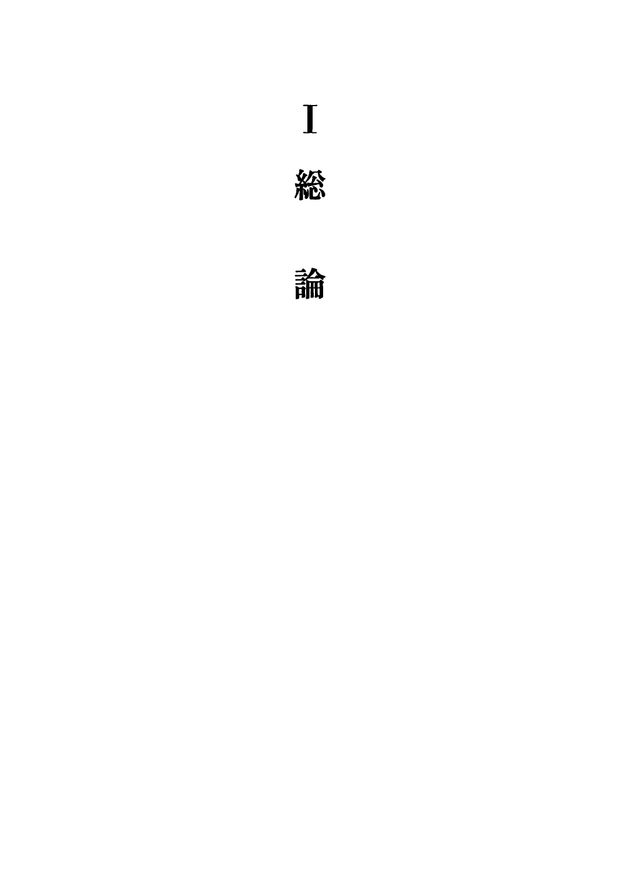# $\mathbf I$



論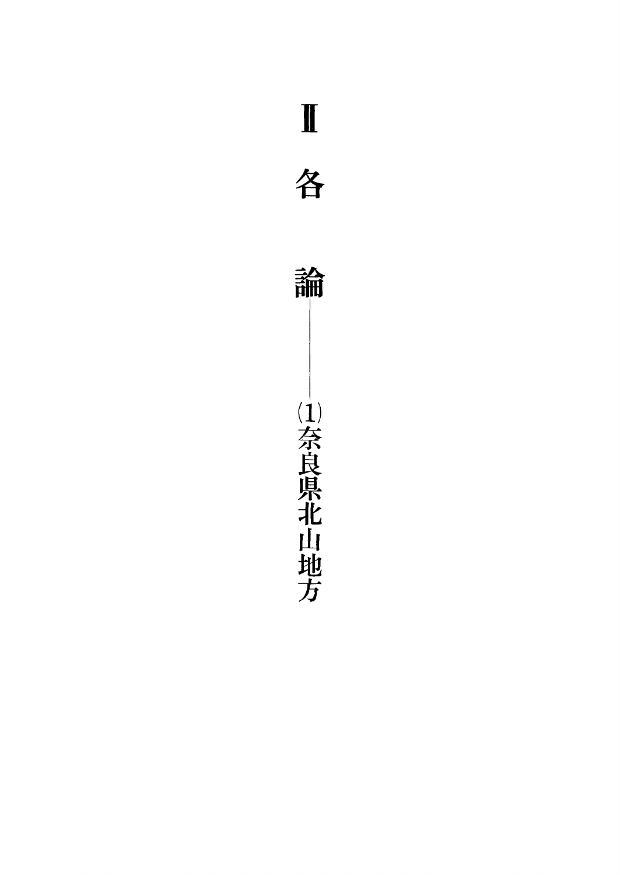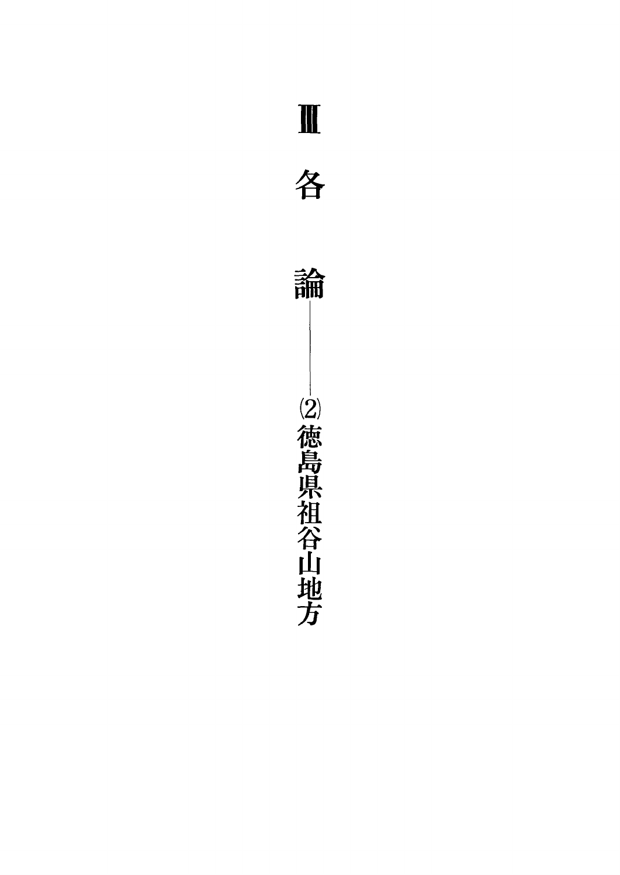

2徳島県祖谷山地方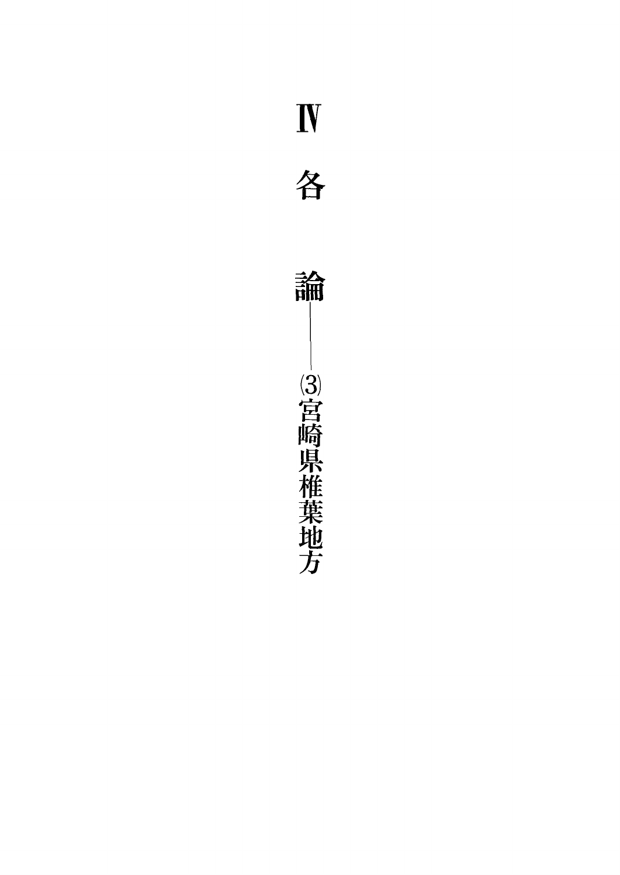



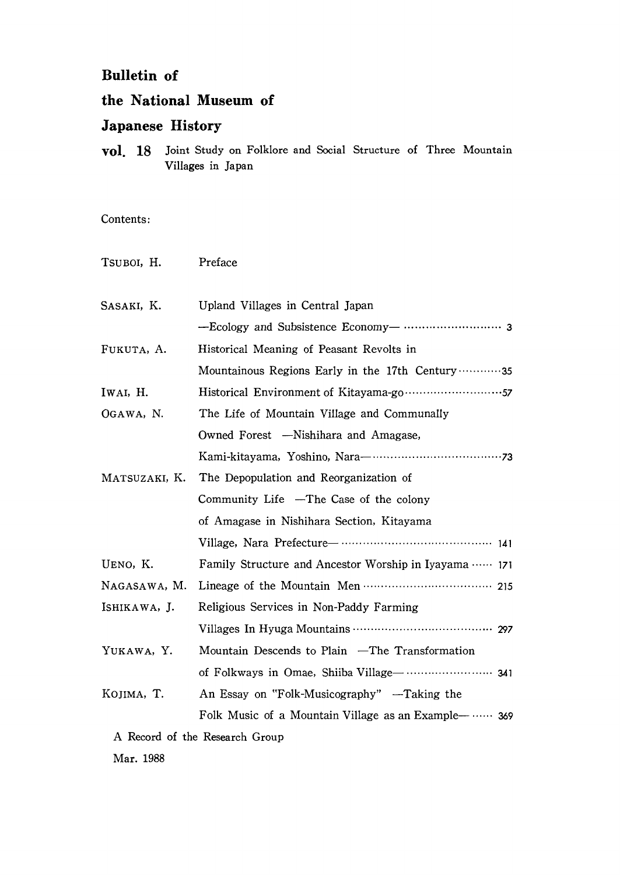#### 1Bulletin of

#### the National Museum of

#### Japanese History

**VOI.** 18 Joint Study on Folklore and Social Structure of Three Mountain VilIages in Japan

Contents:

| TSUBOI, H.    | Preface                                               |
|---------------|-------------------------------------------------------|
| SASAKI, K.    | Upland Villages in Central Japan                      |
|               |                                                       |
| FUKUTA, A.    | Historical Meaning of Peasant Revolts in              |
|               | Mountainous Regions Early in the 17th Century 35      |
| IWAI, H.      |                                                       |
| OGAWA, N.     | The Life of Mountain Village and Communally           |
|               | Owned Forest -Nishihara and Amagase,                  |
|               |                                                       |
| MATSUZAKI, K. | The Depopulation and Reorganization of                |
|               | Community Life -The Case of the colony                |
|               | of Amagase in Nishihara Section, Kitayama             |
|               |                                                       |
| UENO, K.      | Family Structure and Ancestor Worship in Iyayama  171 |
| NAGASAWA, M.  |                                                       |
| ISHIKAWA, J.  | Religious Services in Non-Paddy Farming               |
|               |                                                       |
| YUKAWA, Y.    | Mountain Descends to Plain -The Transformation        |
|               |                                                       |
| KOJIMA, T.    | An Essay on "Folk-Musicography" —Taking the           |
|               | Folk Music of a Mountain Village as an Example—  369  |
|               | A Record of the Research Group                        |
| Mar. 1988     |                                                       |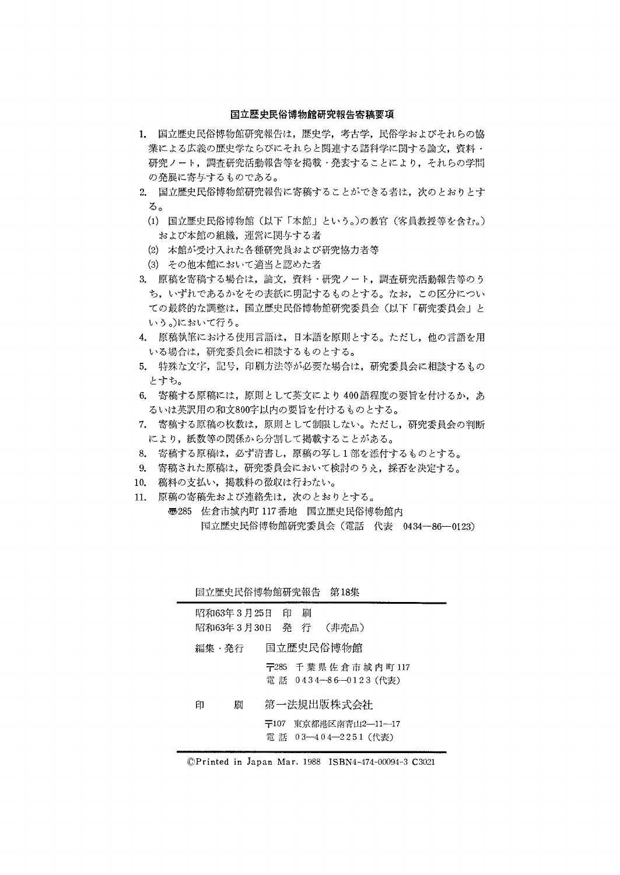#### 国立歴史民俗博物館研究報告寄稿要項

- 1. 国立歴史民俗博物館研究報告は,歴史学,考古学,民俗学およびそれらの協 業による広義の歴史学ならびにそれらと関連する諸科学に関する論文,資料・ 研究ノート,調査研究活動報告等を掲載・発表することにより,それらの学問 の発展に寄与するものである。
- 2.国立歴史民俗博物館研究報告に寄稿することができる者は,次のとおりとす る。
	- (1)国立歴史民俗博物館(以下「本館」という。)の教官(客員教授等を含む。) および本館の組織,運営に関与する老
	- (2)本館が受け入れた各種研究員および研究協力者等
	- (3)その他本館において適当と認めた老
- & 原稿を寄稿する場合は,論文,資料・研究ノート,調査研究活動報告等のう ち,いずれであるかをその表紙に明記するものとする。なお,この区分につい ての最終的な調整は,国立歴史民俗博物館研究委員会(以下「研究委員会」と いう。)において行う。
- 4.原稿執筆における使用言語は,日本語を原則とする。ただし,他の言語を用 いる場合は,研究委員会に相談するものとする。
- 5.特殊な文字,記号,印刷方法等が必要な場合は,研究委員会に相談するもの とすち。
- 6. 寄稿する原稿には、原則として英文により400語程度の要旨を付けるか、あ るいは英訳用の和文800字以内の要旨を付けるものとする。
- 7.寄稿する原稿の枚数は,原則として制限しない。ただし,研究委員会の判断 により,紙数等の関係から分割して掲載することがある。
- 8. 寄稿する原稿は,必ず清書し,原稿の写し1部を添付するものとする。
- 9. 寄稿された原稿は,研究委員会において検討のうえ,採否を決定する。
- 10. 稿料の支払い,掲載料の徴収は行わない。
- 11. 原稿の寄稿先および連絡先は,次のとおりとする。 壱285佐倉市城内町117番地 国立歴史民俗博物館内 国立歴史民俗博物館研究委員会(電話 代表 0434-86-0123)

| 国立庇丈氏  住持物脂研先安員会 (电晶 1\衣 0434--80--0123) |  |  |
|------------------------------------------|--|--|
|                                          |  |  |

|              | 国立歴史民俗博物館研究報告 第18集                              |  |
|--------------|-------------------------------------------------|--|
| 昭和63年3月25日 印 | 刷<br>昭和63年3月30日 発 行 (非売品)                       |  |
| 編集・発行        | 国立歴史民俗博物館                                       |  |
|              | 〒285 千葉県佐倉市城内町117<br>電 話 0434—86—0123(代表)       |  |
| 刷<br>ĒП      | 第一法規出版株式会社                                      |  |
|              | 東京都港区南青山2—11—17<br>〒107<br>電 話 03-404-2251 (代表) |  |

◎Printed in Japan Mar.1988 1SBN4-474-00094-3 C3021